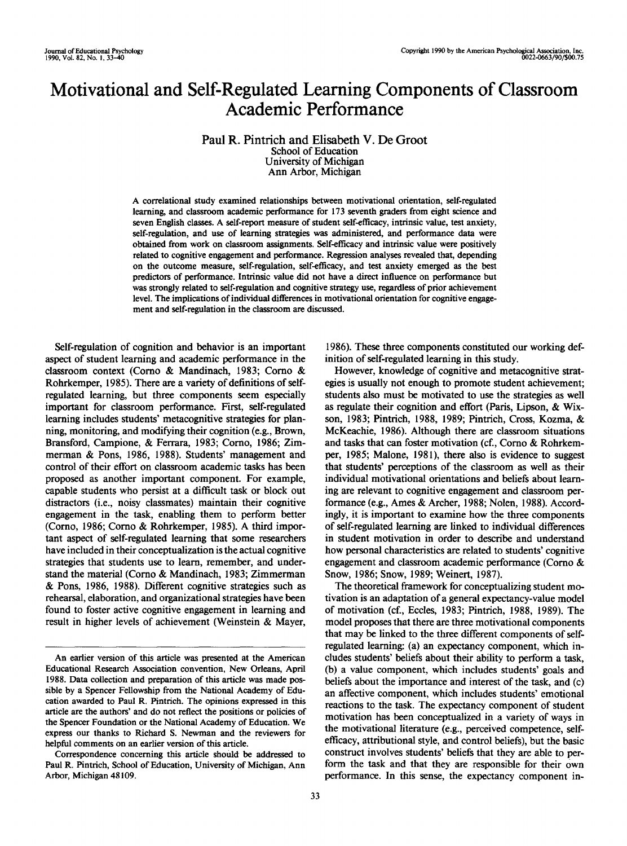# Motivational and Self-Regulated Learning Components of Classroom Academic Performance

Paul R. Pintrich and Elisabeth V. De Groot School of Education University of Michigan Ann Arbor, Michigan

A correlational study examined relationships between motivational orientation, self-regulated learning, and classroom academic performance for 173 seventh graders from eight science and seven English classes. A self-report measure of student self-efficacy, intrinsic value, test anxiety, self-regulation, and use of learning strategies was administered, and performance data were obtained from work on classroom assignments. Self-efficacy and intrinsic value were positively related to cognitive engagement and performance. Regression analyses revealed that, depending on the outcome measure, self-regulation, self-efficacy, and test anxiety emerged as the best predictors of performance. Intrinsic value did not have a direct influence on performance but was strongly related to self-regulation and cognitive strategy use, regardless of prior achievement level. The implications of individual differences in motivational orientation for cognitive engagement and self-regulation in the classroom are discussed.

Self-regulation of cognition and behavior is an important aspect of student learning and academic performance in the classroom context (Corno & Mandinach, 1983; Corno & Rohrkemper, 1985). There are a variety of definitions of selfregulated learning, but three components seem especially important for classroom performance. First, self-regulated learning includes students' metacognitive strategies for planning, monitoring, and modifying their cognition (e.g., Brown, Bransford, Campione, & Ferrara, 1983; Corno, 1986; Zimmerman & Pons, 1986, 1988). Students' management and control of their effort on classroom academic tasks has been proposed as another important component. For example, capable students who persist at a difficult task or block out distractors (i.e., noisy classmates) maintain their cognitive engagement in the task, enabling them to perform better (Corno, 1986; Corno & Rohrkemper, 1985). A third important aspect of self-regulated learning that some researchers have included in their conceptualization is the actual cognitive strategies that students use to learn, remember, and understand the material (Corno & Mandinach, 1983; Zimmerman & Pons, 1986, 1988). Different cognitive strategies such as rehearsal, elaboration, and organizational strategies have been found to foster active cognitive engagement in learning and result in higher levels of achievement (Weinstein & Mayer,

1986). These three components constituted our working definition of self-regulated learning in this study.

However, knowledge of cognitive and metacognitive strategies is usually not enough to promote student achievement; students also must be motivated to use the strategies as well as regulate their cognition and effort (Paris, Lipson, & Wixson, 1983; Pintrich, 1988, 1989; Pintrich, Cross, Kozma, & McKeachie, 1986). Although there are classroom situations and tasks that can foster motivation (cf., Corno & Rohrkemper, 1985; Malone, 1981), there also is evidence to suggest that students' perceptions of the classroom as well as their individual motivational orientations and beliefs about learning are relevant to cognitive engagement and classroom performance (e.g., Ames & Archer, 1988; Nolen, 1988). Accordingly, it is important to examine how the three components of self-regulated learning are linked to individual differences in student motivation in order to describe and understand how personal characteristics are related to students' cognitive engagement and classroom academic performance (Corno & Snow, 1986; Snow, 1989; Weinert, 1987).

The theoretical framework for conceptualizing student motivation is an adaptation of a general expectancy-value model of motivation (cf., Eccles, 1983; Pintrich, 1988, 1989). The model proposes that there are three motivational components that may be linked to the three different components of selfregulated learning: (a) an expectancy component, which includes students' beliefs about their ability to perform a task, (b) a value component, which includes students' goals and beliefs about the importance and interest of the task, and (c) an affective component, which includes students' emotional reactions to the task. The expectancy component of student motivation has been conceptualized in a variety of ways in the motivational literature (e.g., perceived competence, selfefficacy, attributional style, and control beliefs), but the basic construct involves students' beliefs that they are able to perform the task and that they are responsible for their own performance. In this sense, the expectancy component in-

An earlier version of this article was presented at the American Educational Research Association convention, New Orleans, April 1988. Data collection and preparation of this article was made possible by a Spencer Fellowship from the National Academy of Education awarded to Paul R. Pintrich. The opinions expressed in this article are the authors' and do not reflect the positions or policies of the Spencer Foundation or the National Academy of Education. We express our thanks to Richard S. Newman and the reviewers for helpful comments on an earlier version of this article.

Correspondence concerning this article should be addressed to Paul R. Pintrich, School of Education, University of Michigan, Ann Arbor, Michigan 48109.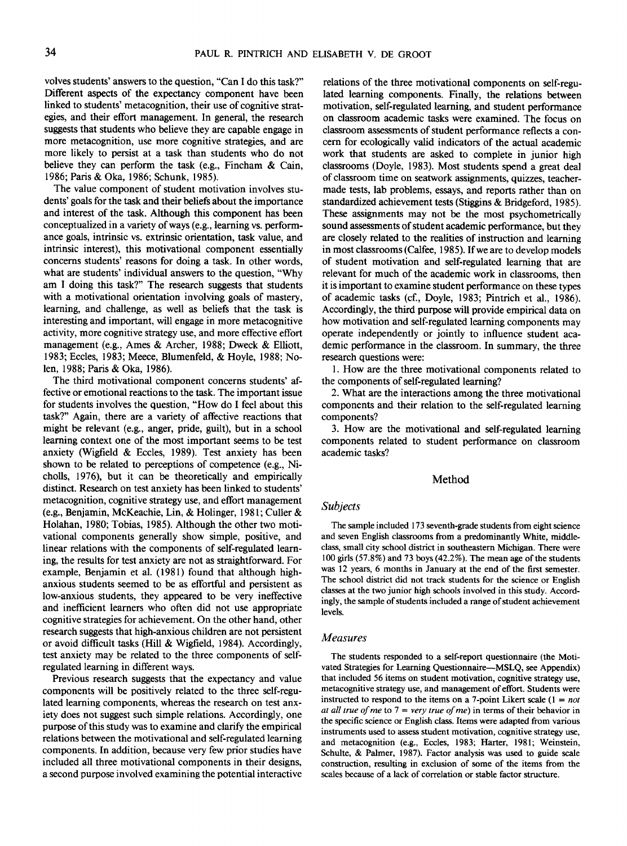volves students' answers to the question, "Can I do this task?" Different aspects of the expectancy component have been linked to students' metacognition, their use of cognitive strategies, and their effort management. In general, the research suggests that students who believe they are capable engage in more metacognition, use more cognitive strategies, and are more likely to persist at a task than students who do not believe they can perform the task (e.g., Fincham & Cain, 1986; Paris & Oka, 1986; Schunk, 1985).

The value component of student motivation involves students' goals for the task and their beliefs about the importance and interest of the task. Although this component has been conceptualized in a variety of ways (e.g., learning vs. performance goals, intrinsic vs. extrinsic orientation, task value, and intrinsic interest), this motivational component essentially concerns students' reasons for doing a task. In other words, what are students' individual answers to the question, "Why am I doing this task?" The research suggests that students with a motivational orientation involving goals of mastery, learning, and challenge, as well as beliefs that the task is interesting and important, will engage in more metacognitive activity, more cognitive strategy use, and more effective effort management (e.g., Ames & Archer, 1988; Dweck & Elliott, 1983; Eccles, 1983; Meece, Blumenfeld, & Hoyle, 1988; Nolen, 1988; Paris & Oka, 1986).

The third motivational component concerns students' affective or emotional reactions to the task. The important issue for students involves the question, "How do I feel about this task?" Again, there are a variety of affective reactions that might be relevant (e.g., anger, pride, guilt), but in a school learning context one of the most important seems to be test anxiety (Wigfield & Eccles, 1989). Test anxiety has been shown to be related to perceptions of competence (e.g., Nicholls, 1976), but it can be theoretically and empirically distinct. Research on test anxiety has been linked to students' metacognition, cognitive strategy use, and effort management (e.g., Benjamin, McKeachie, Lin, & Holinger, 1981; Culler & Holahan, 1980; Tobias, 1985). Although the other two motivational components generally show simple, positive, and linear relations with the components of self-regulated learning, the results for test anxiety are not as straightforward. For example, Benjamin et al. (1981) found that although highanxious students seemed to be as effortful and persistent as low-anxious students, they appeared to be very ineffective and inefficient learners who often did not use appropriate cognitive strategies for achievement. On the other hand, other research suggests that high-anxious children are not persistent or avoid difficult tasks (Hill & Wigfield, 1984). Accordingly, test anxiety may be related to the three components of selfregulated learning in different ways.

Previous research suggests that the expectancy and value components will be positively related to the three self-regulated learning components, whereas the research on test anxiety does not suggest such simple relations. Accordingly, one purpose of this study was to examine and clarify the empirical relations between the motivational and self-regulated learning components. In addition, because very few prior studies have included all three motivational components in their designs, a second purpose involved examining the potential interactive

relations of the three motivational components on self-regulated learning components. Finally, the relations between motivation, self-regulated learning, and student performance on classroom academic tasks were examined. The focus on classroom assessments of student performance reflects a concern for ecologically valid indicators of the actual academic work that students are asked to complete in junior high classrooms (Doyle, 1983). Most students spend a great deal of classroom time on seatwork assignments, quizzes, teachermade tests, lab problems, essays, and reports rather than on standardized achievement tests (Stiggins & Bridgeford, 1985). These assignments may not be the most psychometrically sound assessments of student academic performance, but they are closely related to the realities of instruction and learning in most classrooms (Calfee, 1985). If we are to develop models of student motivation and self-regulated learning that are relevant for much of the academic work in classrooms, then it is important to examine student performance on these types of academic tasks (cf., Doyle, 1983; Pintrich et al., 1986). Accordingly, the third purpose will provide empirical data on how motivation and self-regulated learning components may operate independently or jointly to influence student academic performance in the classroom. In summary, the three research questions were:

1. How are the three motivational components related to the components of self-regulated learning?

2. What are the interactions among the three motivational components and their relation to the self-regulated learning components?

3. How are the motivational and self-regulated learning components related to student performance on classroom academic tasks?

#### Method

## *Subjects*

The sample included 173 seventh-grade students from eight science and seven English classrooms from a predominantly White, middleclass, small city school district in southeastern Michigan. There were 100 girls (57.8%) and 73 boys (42.2%). The mean age of the students was 12 years, 6 months in January at the end of the first semester. The school district did not track students for the science or English classes at the two junior high schools involved in this study. Accordingly, the sample of students included a range of student achievement levels.

#### *Measures*

The students responded to a self-report questionnaire (the Motivated Strategies for Learning Questionnaire—MSLQ, see Appendix) that included 56 items on student motivation, cognitive strategy use, metacognitive strategy use, and management of effort. Students were instructed to respond to the items on a 7-point Likert scale (1 = *not at all true of me* to 7 = *very true of me)* in terms of their behavior in the specific science or English class. Items were adapted from various instruments used to assess student motivation, cognitive strategy use, and metacognition (e.g., Eccles, 1983; Harter, 1981; Weinstein, Schulte, & Palmer, 1987). Factor analysis was used to guide scale construction, resulting in exclusion of some of the items from the scales because of a lack of correlation or stable factor structure.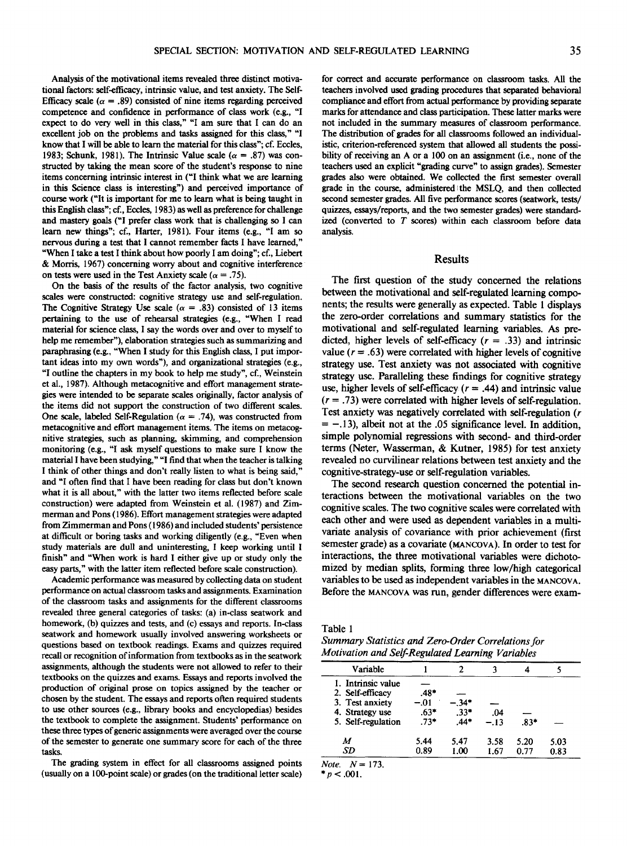Analysis of the motivational items revealed three distinct motivational factors: self-efficacy, intrinsic value, and test anxiety. The Self-Efficacy scale ( $\alpha = .89$ ) consisted of nine items regarding perceived competence and confidence in performance of class work (e.g., "I expect to do very well in this class," "I am sure that I can do an excellent job on the problems and tasks assigned for this class," "I know that I will be able to learn the material for this class"; cf. Eccles, 1983; Schunk, 1981). The Intrinsic Value scale ( $\alpha = .87$ ) was constructed by taking the mean score of the student's response to nine items concerning intrinsic interest in ("I think what we are learning in this Science class is interesting") and perceived importance of course work ("It is important for me to learn what is being taught in this English class"; cf., Eccles, 1983) as well as preference for challenge and mastery goals ("I prefer class work that is challenging so I can learn new things"; cf., Harter, 1981). Four items (e.g., "I am so nervous during a test that I cannot remember facts I have learned," "When I take a test I think about how poorly I am doing"; cf., Liebert & Morris, 1967) concerning worry about and cognitive interference on tests were used in the Test Anxiety scale ( $\alpha = .75$ ).

On the basis of the results of the factor analysis, two cognitive scales were constructed: cognitive strategy use and self-regulation. The Cognitive Strategy Use scale ( $\alpha = .83$ ) consisted of 13 items pertaining to the use of rehearsal strategies (e.g., "When I read material for science class, I say the words over and over to myself to help me remember"), elaboration strategies such as summarizing and paraphrasing (e.g., "When I study for this English class, I put important ideas into my own words"), and organizational strategies (e.g., "I outline the chapters in my book to help me study", cf., Weinstein et al., 1987). Although metacognitive and effort management strategies were intended to be separate scales originally, factor analysis of the items did not support the construction of two different scales. One scale, labeled Self-Regulation ( $\alpha$  = .74), was constructed from metacognitive and effort management items. The items on metacognitive strategies, such as planning, skimming, and comprehension monitoring (e.g., "I ask myself questions to make sure I know the material I have been studying," "I find that when the teacher is talking I think of other things and don't really listen to what is being said," and "I often find that I have been reading for class but don't known what it is all about," with the latter two items reflected before scale construction) were adapted from Weinstein et al. (1987) and Zimmerman and Pons (1986). Effort management strategies were adapted from Zimmerman and Pons (1986) and included students' persistence at difficult or boring tasks and working diligently (e.g., "Even when study materials are dull and uninteresting, I keep working until I finish" and "When work is hard I either give up or study only the easy parts," with the latter item reflected before scale construction).

Academic performance was measured by collecting data on student performance on actual classroom tasks and assignments. Examination of the classroom tasks and assignments for the different classrooms revealed three general categories of tasks: (a) in-class seatwork and homework, (b) quizzes and tests, and (c) essays and reports. In-class seatwork and homework usually involved answering worksheets or questions based on textbook readings. Exams and quizzes required recall or recognition of information from textbooks as in the seatwork assignments, although the students were not allowed to refer to their textbooks on the quizzes and exams. Essays and reports involved the production of original prose on topics assigned by the teacher or chosen by the student. The essays and reports often required students to use other sources (e.g., library books and encyclopedias) besides the textbook to complete the assignment. Students' performance on these three types of generic assignments were averaged over the course of the semester to generate one summary score for each of the three tasks.

The grading system in effect for all classrooms assigned points (usually on a 100-point scale) or grades (on the traditional letter scale)

for correct and accurate performance on classroom tasks. All the teachers involved used grading procedures that separated behavioral compliance and effort from actual performance by providing separate marks for attendance and class participation. These latter marks were not included in the summary measures of classroom performance. The distribution of grades for all classrooms followed an individualistic, criterion-referenced system that allowed all students the possibility of receiving an A or a 100 on an assignment (i.e., none of the teachers used an explicit "grading curve" to assign grades). Semester grades also were obtained. We collected the first semester overall grade in the course, administered the MSLQ, and then collected second semester grades. All five performance scores (seatwork, tests/ quizzes, essays/reports, and the two semester grades) were standardized (converted to *T* scores) within each classroom before data analysis.

#### Results

The first question of the study concerned the relations between the motivational and self-regulated learning components; the results were generally as expected. Table 1 displays the zero-order correlations and summary statistics for the motivational and self-regulated learning variables. As predicted, higher levels of self-efficacy ( $r = .33$ ) and intrinsic value  $(r = .63)$  were correlated with higher levels of cognitive strategy use. Test anxiety was not associated with cognitive strategy use. Paralleling these findings for cognitive strategy use, higher levels of self-efficacy  $(r = .44)$  and intrinsic value  $(r = .73)$  were correlated with higher levels of self-regulation. Test anxiety was negatively correlated with self-regulation *(r*  $=$  -.13), albeit not at the .05 significance level. In addition, simple polynomial regressions with second- and third-order terms (Neter, Wasserman, & Kutner, 1985) for test anxiety revealed no curvilinear relations between test anxiety and the cognitive-strategy-use or self-regulation variables.

The second research question concerned the potential interactions between the motivational variables on the two cognitive scales. The two cognitive scales were correlated with each other and were used as dependent variables in a multivariate analysis of covariance with prior achievement (first semester grade) as a covariate (MANCOVA). In order to test for interactions, the three motivational variables were dichotomized by median splits, forming three low/high categorical variables to be used as independent variables in the MANCOVA. Before the MANCOVA was run, gender differences were exam-

Table 1

*Summary Statistics and Zero-Order Correlations for Motivation and Self-Regulated Learning Variables*

| Variable           |        |        | 3      |        |      |
|--------------------|--------|--------|--------|--------|------|
| 1. Intrinsic value |        |        |        |        |      |
| 2. Self-efficacy   | $.48*$ |        |        |        |      |
| 3. Test anxiety    | $-.01$ | $34*$  |        |        |      |
| 4. Strategy use    | $.63*$ | $.33*$ | .04    |        |      |
| 5. Self-regulation | $.73*$ | $.44*$ | $-.13$ | $.83*$ |      |
| М                  | 5.44   | 5.47   | 3.58   | 5.20   | 5.03 |
| SD                 | 0.89   | 1.00   | 1.67   | 0.77   | 0.83 |

*Note. N=* 173.

 $* p < .001.$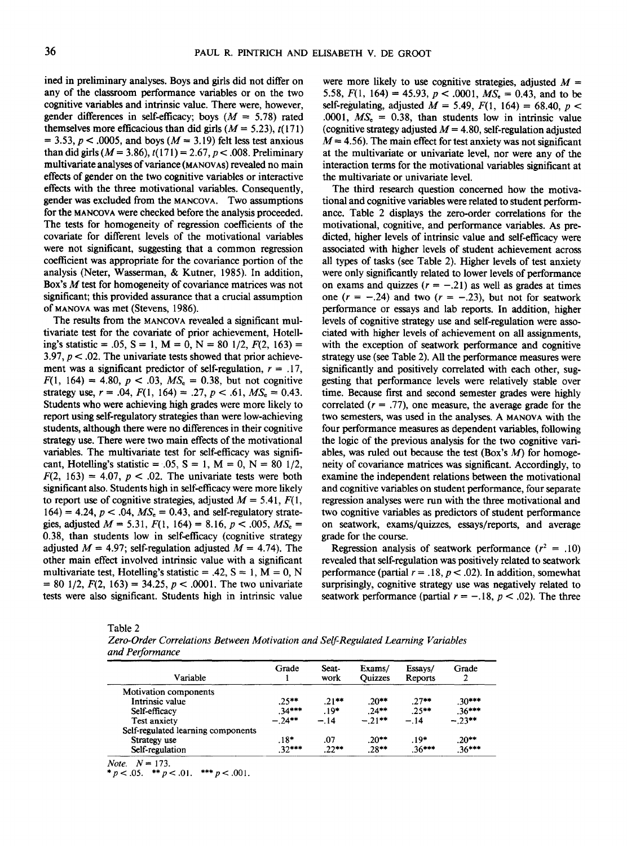ined in preliminary analyses. Boys and girls did not differ on any of the classroom performance variables or on the two cognitive variables and intrinsic value. There were, however, gender differences in self-efficacy; boys  $(M = 5.78)$  rated themselves more efficacious than did girls ( $M = 5.23$ ),  $t(171)$  $= 3.53, p < .0005$ , and boys ( $M = 3.19$ ) felt less test anxious than did girls ( $M = 3.86$ ),  $t(171) = 2.67$ ,  $p < .008$ . Preliminary multivariate analyses of variance (MANOVAS) revealed no main effects of gender on the two cognitive variables or interactive effects with the three motivational variables. Consequently, gender was excluded from the MANCOVA. TWO assumptions for the MANCOVA were checked before the analysis proceeded. The tests for homogeneity of regression coefficients of the covariate for different levels of the motivational variables were not significant, suggesting that a common regression coefficient was appropriate for the covariance portion of the analysis (Neter, Wasserman, & Kutner, 1985). In addition, Box's *M* test for homogeneity of covariance matrices was not significant; this provided assurance that a crucial assumption of MANOVA was met (Stevens, 1986).

The results from the MANCOVA revealed a significant multivariate test for the covariate of prior achievement, Hotelling's statistic = .05, S = 1, M = 0, N = 80 1/2,  $F(2, 163)$  = 3.97,  $p < 0.02$ . The univariate tests showed that prior achievement was a significant predictor of self-regulation,  $r = .17$ ,  $F(1, 164) = 4.80, p < .03, MS<sub>e</sub> = 0.38$ , but not cognitive strategy use,  $r = .04$ ,  $F(1, 164) = .27$ ,  $p < .61$ ,  $MS_e = 0.43$ . Students who were achieving high grades were more likely to report using self-regulatory strategies than were low-achieving students, although there were no differences in their cognitive strategy use. There were two main effects of the motivational variables. The multivariate test for self-efficacy was significant, Hotelling's statistic = .05, S = 1, M = 0, N = 80 1/2,  $F(2, 163) = 4.07$ ,  $p < .02$ . The univariate tests were both significant also. Students high in self-efficacy were more likely to report use of cognitive strategies, adjusted  $M = 5.41, F(1,$  $164$ ) = 4.24,  $p < .04$ ,  $MS_e = 0.43$ , and self-regulatory strategies, adjusted  $M = 5.31$ ,  $F(1, 164) = 8.16$ ,  $p < .005$ ,  $MS<sub>r</sub> =$ 0.38, than students low in self-efficacy (cognitive strategy adjusted  $M = 4.97$ ; self-regulation adjusted  $M = 4.74$ ). The other main effect involved intrinsic value with a significant multivariate test, Hotelling's statistic = .42,  $S = 1$ ,  $M = 0$ , N = 80 1/2, *F(2,* 163) = 34.25, *p <* .0001. The two univariate tests were also significant. Students high in intrinsic value

were more likely to use cognitive strategies, adjusted  $M =$ 5.58,  $F(1, 164) = 45.93$ ,  $p < .0001$ ,  $MS_e = 0.43$ , and to be self-regulating, adjusted  $M = 5.49$ ,  $F(1, 164) = 68.40$ ,  $p <$ .0001,  $MS_e = 0.38$ , than students low in intrinsic value (cognitive strategy adjusted *M=* 4.80, self-regulation adjusted  $M = 4.56$ ). The main effect for test anxiety was not significant at the multivariate or univariate level, nor were any of the interaction terms for the motivational variables significant at the multivariate or univariate level.

The third research question concerned how the motivational and cognitive variables were related to student performance. Table 2 displays the zero-order correlations for the motivational, cognitive, and performance variables. As predicted, higher levels of intrinsic value and self-efficacy were associated with higher levels of student achievement across all types of tasks (see Table 2). Higher levels of test anxiety were only significantly related to lower levels of performance on exams and quizzes  $(r = -.21)$  as well as grades at times one  $(r = -.24)$  and two  $(r = -.23)$ , but not for seatwork performance or essays and lab reports. In addition, higher levels of cognitive strategy use and self-regulation were associated with higher levels of achievement on all assignments, with the exception of seatwork performance and cognitive strategy use (see Table 2). All the performance measures were significantly and positively correlated with each other, suggesting that performance levels were relatively stable over time. Because first and second semester grades were highly correlated  $(r = .77)$ , one measure, the average grade for the two semesters, was used in the analyses. A MANOVA with the four performance measures as dependent variables, following the logic of the previous analysis for the two cognitive variables, was ruled out because the test (Box's *M)* for homogeneity of covariance matrices was significant. Accordingly, to examine the independent relations between the motivational and cognitive variables on student performance, four separate regression analyses were run with the three motivational and two cognitive variables as predictors of student performance on seatwork, exams/quizzes, essays/reports, and average grade for the course.

Regression analysis of seatwork performance  $(r^2 = .10)$ revealed that self-regulation was positively related to seatwork performance (partial  $r = .18$ ,  $p < .02$ ). In addition, somewhat surprisingly, cognitive strategy use was negatively related to seatwork performance (partial  $r = -.18$ ,  $p < .02$ ). The three

| н |  |
|---|--|
|---|--|

| Zero-Order Correlations Between Motivation and Self-Regulated Learning Variables |  |  |  |
|----------------------------------------------------------------------------------|--|--|--|
| and Performance                                                                  |  |  |  |

| Variable                                                                              | Grade                         | Seat-<br>work            | Exams/<br><b>Ouizzes</b>        | Essays/<br>Reports          | Grade                            |  |
|---------------------------------------------------------------------------------------|-------------------------------|--------------------------|---------------------------------|-----------------------------|----------------------------------|--|
| <b>Motivation components</b><br>Intrinsic value<br>Self-efficacy                      | $.25***$<br>$.34***$          | $.21***$<br>$.19*$       | $.20***$<br>$.24***$            | $.27***$<br>$.25***$        | $.30***$<br>$.36***$             |  |
| Test anxiety<br>Self-regulated learning components<br>Strategy use<br>Self-regulation | $-24**$<br>$.18*$<br>$.32***$ | $-.14$<br>.07<br>$.22**$ | $-21**$<br>$.20***$<br>$.28***$ | $-.14$<br>$19*$<br>$.36***$ | $-.23**$<br>$.20***$<br>$.36***$ |  |

*Note.*  $N = 173$ .

 $p < .05.$  \*\* $p < .01.$  \*\*\* $p < .001.$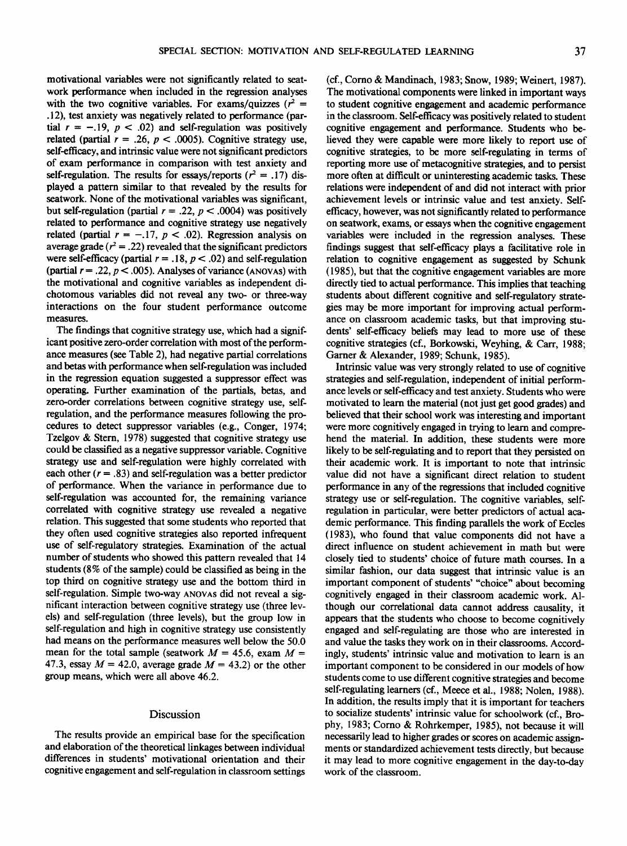motivational variables were not significantly related to seatwork performance when included in the regression analyses with the two cognitive variables. For exams/quizzes  $(r^2 =$ .12), test anxiety was negatively related to performance (partial  $r = -.19$ ,  $p < .02$ ) and self-regulation was positively related (partial  $r = .26$ ,  $p < .0005$ ). Cognitive strategy use, self-efficacy, and intrinsic value were not significant predictors of exam performance in comparison with test anxiety and self-regulation. The results for essays/reports  $(r^2 = .17)$  displayed a pattern similar to that revealed by the results for seatwork. None of the motivational variables was significant, but self-regulation (partial  $r = .22$ ,  $p < .0004$ ) was positively related to performance and cognitive strategy use negatively related (partial  $r = -.17$ ,  $p < .02$ ). Regression analysis on  $\frac{1}{2}$  average grade ( $r^2 = .22$ ) revealed that the significant predictors were self-efficacy (partial  $r = .18$ ,  $p < .02$ ) and self-regulation (partial *r* = .22, *p <* .005). Analyses of variance (ANOVAS) with the motivational and cognitive variables as independent dichotomous variables did not reveal any two- or three-way interactions on the four student performance outcome measures.

The findings that cognitive strategy use, which had a significant positive zero-order correlation with most of the performance measures (see Table 2), had negative partial correlations and betas with performance when self-regulation was included in the regression equation suggested a suppressor effect was operating. Further examination of the partials, betas, and zero-order correlations between cognitive strategy use, selfregulation, and the performance measures following the procedures to detect suppressor variables (e.g., Conger, 1974; Tzelgov & Stern, 1978) suggested that cognitive strategy use could be classified as a negative suppressor variable. Cognitive strategy use and self-regulation were highly correlated with each other  $(r = .83)$  and self-regulation was a better predictor of performance. When the variance in performance due to self-regulation was accounted for, the remaining variance correlated with cognitive strategy use revealed a negative relation. This suggested that some students who reported that they often used cognitive strategies also reported infrequent use of self-regulatory strategies. Examination of the actual number of students who showed this pattern revealed that 14 students (8% of the sample) could be classified as being in the top third on cognitive strategy use and the bottom third in self-regulation. Simple two-way ANOVAS did not reveal a significant interaction between cognitive strategy use (three levels) and self-regulation (three levels), but the group low in self-regulation and high in cognitive strategy use consistently had means on the performance measures well below the 50.0 mean for the total sample (seatwork  $M = 45.6$ , exam  $M =$ 47.3, essay  $M = 42.0$ , average grade  $M = 43.2$ ) or the other group means, which were all above 46.2.

## Discussion

The results provide an empirical base for the specification and elaboration of the theoretical linkages between individual differences in students' motivational orientation and their cognitive engagement and self-regulation in classroom settings (cf., Corno & Mandinach, 1983; Snow, 1989; Weinert, 1987). The motivational components were linked in important ways to student cognitive engagement and academic performance in the classroom. Self-efficacy was positively related to student cognitive engagement and performance. Students who believed they were capable were more likely to report use of cognitive strategies, to be more self-regulating in terms of reporting more use of metacognitive strategies, and to persist more often at difficult or uninteresting academic tasks. These relations were independent of and did not interact with prior achievement levels or intrinsic value and test anxiety. Selfefficacy, however, was not significantly related to performance on seatwork, exams, or essays when the cognitive engagement variables were included in the regression analyses. These findings suggest that self-efficacy plays a facilitative role in relation to cognitive engagement as suggested by Schunk (1985), but that the cognitive engagement variables are more directly tied to actual performance. This implies that teaching students about different cognitive and self-regulatory strategies may be more important for improving actual performance on classroom academic tasks, but that improving students' self-efficacy beliefs may lead to more use of these cognitive strategies (cf., Borkowski, Weyhing, & Carr, 1988; Garner & Alexander, 1989; Schunk, 1985).

Intrinsic value was very strongly related to use of cognitive strategies and self-regulation, independent of initial performance levels or self-efficacy and test anxiety. Students who were motivated to learn the material (not just get good grades) and believed that their school work was interesting and important were more cognitively engaged in trying to learn and comprehend the material. In addition, these students were more likely to be self-regulating and to report that they persisted on their academic work. It is important to note that intrinsic value did not have a significant direct relation to student performance in any of the regressions that included cognitive strategy use or self-regulation. The cognitive variables, selfregulation in particular, were better predictors of actual academic performance. This finding parallels the work of Eccles (1983), who found that value components did not have a direct influence on student achievement in math but were closely tied to students' choice of future math courses. In a similar fashion, our data suggest that intrinsic value is an important component of students' "choice" about becoming cognitively engaged in their classroom academic work. Although our correlational data cannot address causality, it appears that the students who choose to become cognitively engaged and self-regulating are those who are interested in and value the tasks they work on in their classrooms. Accordingly, students' intrinsic value and motivation to learn is an important component to be considered in our models of how students come to use different cognitive strategies and become self-regulating learners (cf., Meece et al., 1988; Nolen, 1988). In addition, the results imply that it is important for teachers to socialize students' intrinsic value for schoolwork (cf., Brophy, 1983; Corno & Rohrkemper, 1985), not because it will necessarily lead to higher grades or scores on academic assignments or standardized achievement tests directly, but because it may lead to more cognitive engagement in the day-to-day work of the classroom.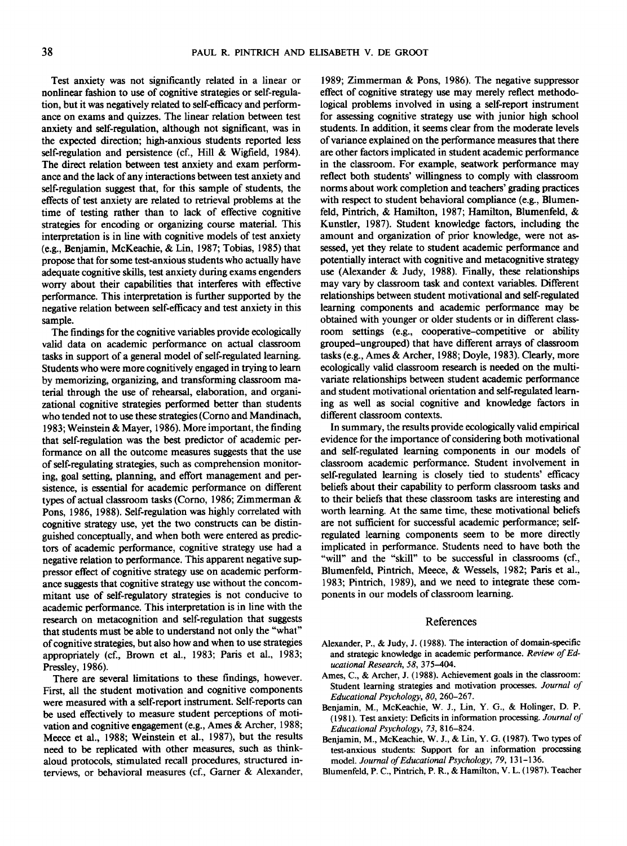Test anxiety was not significantly related in a linear or nonlinear fashion to use of cognitive strategies or self-regulation, but it was negatively related to self-efficacy and performance on exams and quizzes. The linear relation between test anxiety and self-regulation, although not significant, was in the expected direction; high-anxious students reported less self-regulation and persistence (cf., Hill & Wigfield, 1984). The direct relation between test anxiety and exam performance and the lack of any interactions between test anxiety and self-regulation suggest that, for this sample of students, the effects of test anxiety are related to retrieval problems at the time of testing rather than to lack of effective cognitive strategies for encoding or organizing course material. This interpretation is in line with cognitive models of test anxiety (e.g., Benjamin, McKeachie, & Lin, 1987; Tobias, 1985) that propose that for some test-anxious students who actually have adequate cognitive skills, test anxiety during exams engenders worry about their capabilities that interferes with effective performance. This interpretation is further supported by the negative relation between self-efficacy and test anxiety in this sample.

The findings for the cognitive variables provide ecologically valid data on academic performance on actual classroom tasks in support of a general model of self-regulated learning. Students who were more cognitively engaged in trying to learn by memorizing, organizing, and transforming classroom material through the use of rehearsal, elaboration, and organizational cognitive strategies performed better than students who tended not to use these strategies (Corno and Mandinach, 1983; Weinstein & Mayer, 1986). More important, the finding that self-regulation was the best predictor of academic performance on all the outcome measures suggests that the use of self-regulating strategies, such as comprehension monitoring, goal setting, planning, and effort management and persistence, is essential for academic performance on different types of actual classroom tasks (Corno, 1986; Zimmerman & Pons, 1986, 1988). Self-regulation was highly correlated with cognitive strategy use, yet the two constructs can be distinguished conceptually, and when both were entered as predictors of academic performance, cognitive strategy use had a negative relation to performance. This apparent negative suppressor effect of cognitive strategy use on academic performance suggests that cognitive strategy use without the concommitant use of self-regulatory strategies is not conducive to academic performance. This interpretation is in line with the research on metacognition and self-regulation that suggests that students must be able to understand not only the "what" of cognitive strategies, but also how and when to use strategies appropriately (cf., Brown et al., 1983; Paris et al., 1983; Pressley, 1986).

There are several limitations to these findings, however. First, all the student motivation and cognitive components were measured with a self-report instrument. Self-reports can be used effectively to measure student perceptions of motivation and cognitive engagement (e.g., Ames & Archer, 1988; Meece et al., 1988; Weinstein et al., 1987), but the results need to be replicated with other measures, such as thinkaloud protocols, stimulated recall procedures, structured interviews, or behavioral measures (cf., Garner & Alexander, 1989; Zimmerman & Pons, 1986). The negative suppressor effect of cognitive strategy use may merely reflect methodological problems involved in using a self-report instrument for assessing cognitive strategy use with junior high school students. In addition, it seems clear from the moderate levels of variance explained on the performance measures that there are other factors implicated in student academic performance in the classroom. For example, seatwork performance may reflect both students' willingness to comply with classroom norms about work completion and teachers' grading practices with respect to student behavioral compliance (e.g., Blumenfeld, Pintrich, & Hamilton, 1987; Hamilton, Blumenfeld, & Kunstler, 1987). Student knowledge factors, including the amount and organization of prior knowledge, were not assessed, yet they relate to student academic performance and potentially interact with cognitive and metacognitive strategy use (Alexander & Judy, 1988). Finally, these relationships may vary by classroom task and context variables. Different relationships between student motivational and self-regulated learning components and academic performance may be obtained with younger or older students or in different classroom settings (e.g., cooperative-competitive or ability grouped-ungrouped) that have different arrays of classroom tasks (e.g., Ames & Archer, 1988; Doyle, 1983). Clearly, more ecologically valid classroom research is needed on the multivariate relationships between student academic performance and student motivational orientation and self-regulated learning as well as social cognitive and knowledge factors in different classroom contexts.

In summary, the results provide ecologically valid empirical evidence for the importance of considering both motivational and self-regulated learning components in our models of classroom academic performance. Student involvement in self-regulated learning is closely tied to students' efficacy beliefs about their capability to perform classroom tasks and to their beliefs that these classroom tasks are interesting and worth learning. At the same time, these motivational beliefs are not sufficient for successful academic performance; selfregulated learning components seem to be more directly implicated in performance. Students need to have both the "will" and the "skill" to be successful in classrooms (cf., Blumenfeld, Pintrich, Meece, & Wessels, 1982; Paris et al., 1983; Pintrich, 1989), and we need to integrate these components in our models of classroom learning.

#### References

- Alexander, P., & Judy, J. (1988). The interaction of domain-specific and strategic knowledge in academic performance. *Review of Educational Research, 58,* 375-404.
- Ames, C, & Archer, J. (1988). Achievement goals in the classroom: Student learning strategies and motivation processes. *Journal of Educational Psychology, 80,* 260-267.
- Benjamin, M., McKeachie, W. J., Lin, Y. G., & Holinger, D. P. (1981). Test anxiety: Deficits in information processing. *Journal of Educational Psychology, 73,* 816-824.
- Benjamin, M., McKeachie, W. J., & Lin, Y. G. (1987). Two types of test-anxious students: Support for an information processing model. *Journal of Educational Psychology, 79,* 131-136.
- Blumenfeld, P. C, Pintrich, P. R., & Hamilton, V. L. (1987). Teacher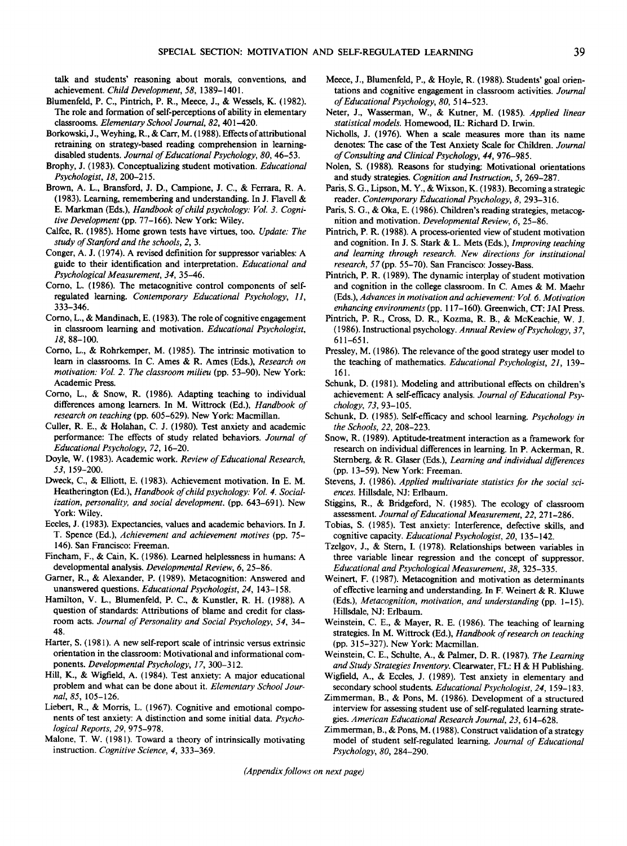talk and students' reasoning about morals, conventions, and achievement. *Child Development, 58,* 1389-1401.

- Blumenfeld, P. C, Pintrich, P. R., Meece, J., & Wessels, K. (1982). The role and formation of self-perceptions of ability in elementary classrooms. *Elementary School Journal, 82,* 401-420.
- Borkowski, J., Weyhing, R., & Carr, M. (1988). Effects of attributional retraining on strategy-based reading comprehension in learningdisabled students. *Journal of Educational Psychology, 80,* 46-53.
- Brophy, J. (1983). Conceptualizing student motivation. *Educational Psychologist, 18,* 200-215.
- Brown, A. L., Bransford, J. D., Campione, J. C, & Ferrara, R. A. (1983). Learning, remembering and understanding. In J. Flavell & E. Markman (Eds.), *Handbook of child psychology: Vol. 3. Cognitive Development* (pp. 77-166). New York: Wiley.
- Calfee, R. (1985). Home grown tests have virtues, too. *Update: The study of Stanford and the schools, 2,* 3.
- Conger, A. J. (1974). A revised definition for suppressor variables: A guide to their identification and interpretation. *Educational and Psychological Measurement, 34,* 35-46.
- Corno, L. (1986). The metacognitive control components of selfregulated learning. *Contemporary Educational Psychology, 11,* 333-346.
- Corno, L., & Mandinach, E. (1983). The role of cognitive engagement in classroom learning and motivation. *Educational Psychologist, 18,* 88-100.
- Corno, L., & Rohrkemper, M. (1985). The intrinsic motivation to learn in classrooms. In C. Ames & R. Ames (Eds.), *Research on motivation: Vol. 2. The classroom milieu* (pp. 53-90). New York: Academic Press.
- Corno, L., & Snow, R. (1986). Adapting teaching to individual differences among learners. In M. Wittrock (Ed.), *Handbook of research on teaching* (pp. 605-629). New York: Macmillan.
- Culler, R. E., & Holahan, C. J. (1980). Test anxiety and academic performance: The effects of study related behaviors. *Journal of Educational Psychology, 72,* 16-20.
- Doyle, W. (1983). Academic work. *Review of Educational Research, 53,* 159-200.
- Dweck, C, & Elliott, E. (1983). Achievement motivation. In E. M. Heatherington (Ed.), *Handbook of child psychology: Vol. 4. Socialization, personality, and social development,* (pp. 643-691). New York: Wiley.
- Eccles, J. (1983). Expectancies, values and academic behaviors. In J. T. Spence (Ed.), *Achievement and achievement motives* (pp. 75- 146). San Francisco: Freeman.
- Fincham, F., & Cain, K. (1986). Learned helplessness in humans: A developmental analysis. *Developmental Review, 6,* 25-86.
- Garner, R., & Alexander, P. (1989). Metacognition: Answered and unanswered questions. *Educational Psychologist, 24,* 143-158.
- Hamilton, V. L., Blumenfeld, P. C, & Kunstler, R. H. (1988). A question of standards: Attributions of blame and credit for classroom acts. *Journal of Personality and Social Psychology, 54,* 34- 48.
- Harter, S. (1981). A new self-report scale of intrinsic versus extrinsic orientation in the classroom: Motivational and informational components. *Developmental Psychology, 17,* 300-312.
- Hill, K., & Wigfield, A. (1984). Test anxiety: A major educational problem and what can be done about it. *Elementary School Journal, 85,* 105-126.
- Liebert, R., & Morris, L. (1967). Cognitive and emotional components of test anxiety: A distinction and some initial data. *Psychological Reports, 29,* 975-978.
- Malone, T. W. (1981). Toward a theory of intrinsically motivating instruction. *Cognitive Science, 4,* 333-369.
- Meece, J., Blumenfeld, P., & Hoyle, R. (1988). Students' goal orientations and cognitive engagement in classroom activities. *Journal of Educational Psychology, 80,* 514-523.
- Neter, J., Wasserman, W., & Kutner, M. (1985). *Applied linear statistical models.* Homewood, IL: Richard D. Irwin.
- Nicholls, J. (1976). When a scale measures more than its name denotes: The case of the Test Anxiety Scale for Children. *Journal of Consulting and Clinical Psychology, 44,* 976-985.
- Nolen, S. (1988). Reasons for studying: Motivational orientations and study strategies. *Cognition and Instruction, 5,* 269-287.
- Paris, S. G., Lipson, M. Y., & Wixson, K. (1983). Becoming a strategic reader. *Contemporary Educational Psychology, 8,* 293-316.
- Paris, S. G., & Oka, E. (1986). Children's reading strategies, metacognition and motivation. *Developmental Review, 6,* 25-86.
- Pintrich, P. R. (1988). A process-oriented view of student motivation and cognition. In J. S. Stark & L. Mets (Eds.), *Improving teaching and learning through research. New directions for institutional research, 57* (pp. 55-70). San Francisco: Jossey-Bass.
- Pintrich, P. R. (1989). The dynamic interplay of student motivation and cognition in the college classroom. In C. Ames & M. Maehr (Eds.), *Advances in motivation and achievement: Vol. 6. Motivation enhancing environments* (pp. 117-160). Greenwich, CT: JAI Press.
- Pintrich, P. R., Cross, D. R., Kozma, R. B., & McKeachie, W. J. (1986). Instructional psychology. *Annual Review of Psychology, 37,* 611-651.
- Pressley, M. (1986). The relevance of the good strategy user model to the teaching of mathematics. *Educational Psychologist, 21,* 139- 161.
- Schunk, D. (1981). Modeling and attributional effects on children's achievement: A self-efficacy analysis. *Journal of Educational Psychology, 73,* 93-105.
- Schunk, D. (1985). Self-efficacy and school learning. *Psychology in the Schools, 22,* 208-223.
- Snow, R. (1989). Aptitude-treatment interaction as a framework for research on individual differences in learning. In P. Ackerman, R. Sternberg, & R. Glaser (Eds.), *Learning and individual differences* (pp. 13-59). New York: Freeman.
- Stevens, J. (1986). *Applied multivariate statistics for the social sciences.* Hillsdale, NJ: Erlbaum.
- Stiggins, R., & Bridgeford, N. (1985). The ecology of classroom assessment. *Journal of Educational Measurement, 22,* 271-286.
- Tobias, S. (1985). Test anxiety: Interference, defective skills, and cognitive capacity. *Educational Psychologist, 20,* 135-142.
- Tzelgov, J., & Stern, I. (1978). Relationships between variables in three variable linear regression and the concept of suppressor. *Educational and Psychological Measurement, 38,* 325-335.
- Weinert, F. (1987). Metacognition and motivation as determinants of effective learning and understanding. In F. Weinert & R. Kluwe (Eds.), *Metacognition, motivation, and understanding* (pp. 1-15). Hillsdale, NJ: Erlbaum.
- Weinstein, C. E., & Mayer, R. E. (1986). The teaching of learning strategies. In M. Wittrock (Ed.), *Handbook of research on teaching* (pp. 315-327). New York: Macmillan.
- Weinstein, C. E., Schulte, A., & Palmer, D. R. (1987). *The Learning and Study Strategies Inventory.* Clearwater, FL: H & H Publishing.
- Wigfield, A., & Eccles, J. (1989). Test anxiety in elementary and secondary school students. *Educational Psychologist, 24,* 159-183.
- Zimmerman, B., & Pons, M. (1986). Development of a structured interview for assessing student use of self-regulated learning strategies. *American Educational Research Journal, 23,* 614-628.
- Zimmerman, B., & Pons, M. (1988). Construct validation of a strategy model of student self-regulated learning. *Journal of Educational Psychology, 80,* 284-290.

*(Appendix follows on next page)*